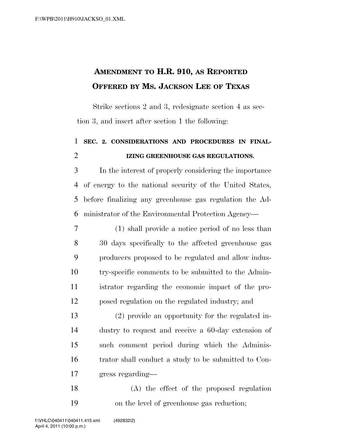## **AMENDMENT TO H.R. 910, AS REPORTED OFFERED BY MS. JACKSON LEE OF TEXAS**

Strike sections 2 and 3, redesignate section 4 as section 3, and insert after section 1 the following:

## **SEC. 2. CONSIDERATIONS AND PROCEDURES IN FINAL-IZING GREENHOUSE GAS REGULATIONS.**

 In the interest of properly considering the importance of energy to the national security of the United States, before finalizing any greenhouse gas regulation the Ad-ministrator of the Environmental Protection Agency—

 (1) shall provide a notice period of no less than 30 days specifically to the affected greenhouse gas producers proposed to be regulated and allow indus- try-specific comments to be submitted to the Admin- istrator regarding the economic impact of the pro-posed regulation on the regulated industry; and

 (2) provide an opportunity for the regulated in- dustry to request and receive a 60-day extension of such comment period during which the Adminis- trator shall conduct a study to be submitted to Con-gress regarding—

 (A) the effect of the proposed regulation on the level of greenhouse gas reduction;